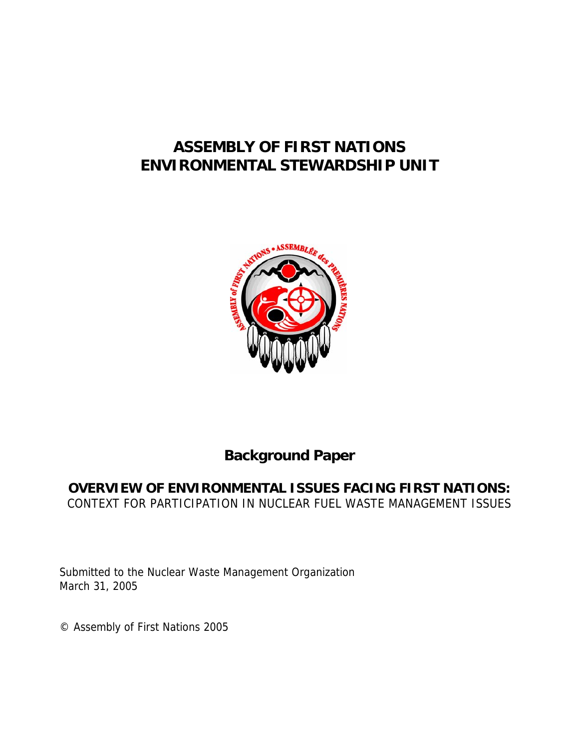# **ASSEMBLY OF FIRST NATIONS ENVIRONMENTAL STEWARDSHIP UNIT**



# **Background Paper**

## **OVERVIEW OF ENVIRONMENTAL ISSUES FACING FIRST NATIONS:**  CONTEXT FOR PARTICIPATION IN NUCLEAR FUEL WASTE MANAGEMENT ISSUES

Submitted to the Nuclear Waste Management Organization March 31, 2005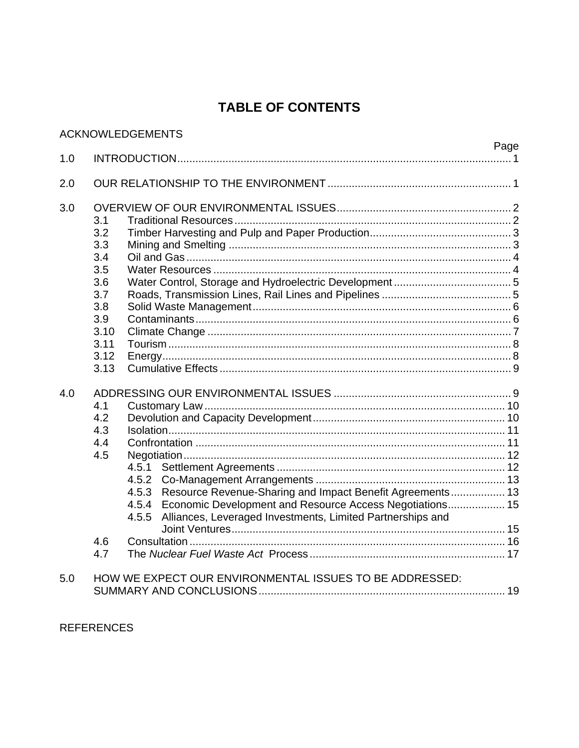# **TABLE OF CONTENTS**

|     |                                                                                             | <b>ACKNOWLEDGEMENTS</b>                                                                                                                                                                                              | Page |
|-----|---------------------------------------------------------------------------------------------|----------------------------------------------------------------------------------------------------------------------------------------------------------------------------------------------------------------------|------|
| 1.0 |                                                                                             |                                                                                                                                                                                                                      |      |
| 2.0 |                                                                                             |                                                                                                                                                                                                                      |      |
| 3.0 | 3.1<br>3.2<br>3.3<br>3.4<br>3.5<br>3.6<br>3.7<br>3.8<br>3.9<br>3.10<br>3.11<br>3.12<br>3.13 |                                                                                                                                                                                                                      |      |
| 4.0 | 4.1<br>4.2<br>4.3<br>4.4<br>4.5<br>4.6<br>4.7                                               | 4.5.1<br>Resource Revenue-Sharing and Impact Benefit Agreements 13<br>4.5.3<br>4.5.4 Economic Development and Resource Access Negotiations 15<br>Alliances, Leveraged Investments, Limited Partnerships and<br>4.5.5 |      |
| 5.0 |                                                                                             | HOW WE EXPECT OUR ENVIRONMENTAL ISSUES TO BE ADDRESSED:                                                                                                                                                              |      |

**REFERENCES**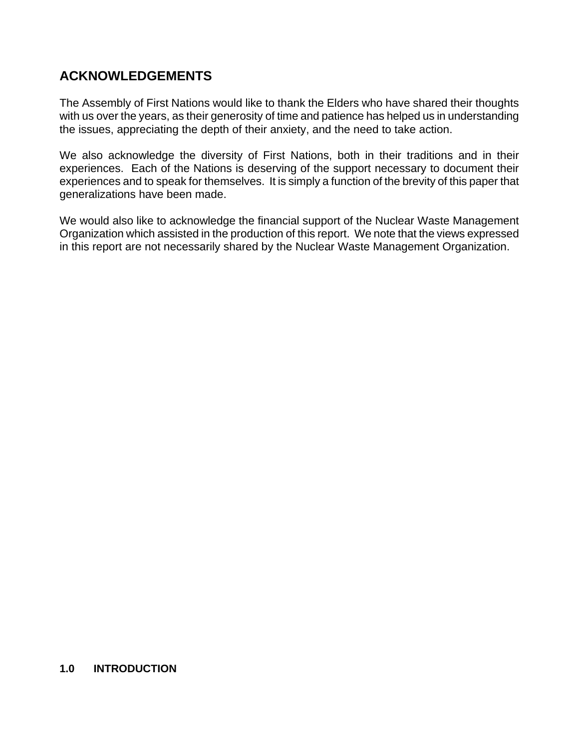## **ACKNOWLEDGEMENTS**

The Assembly of First Nations would like to thank the Elders who have shared their thoughts with us over the years, as their generosity of time and patience has helped us in understanding the issues, appreciating the depth of their anxiety, and the need to take action.

We also acknowledge the diversity of First Nations, both in their traditions and in their experiences. Each of the Nations is deserving of the support necessary to document their experiences and to speak for themselves. It is simply a function of the brevity of this paper that generalizations have been made.

We would also like to acknowledge the financial support of the Nuclear Waste Management Organization which assisted in the production of this report. We note that the views expressed in this report are not necessarily shared by the Nuclear Waste Management Organization.

#### **1.0 INTRODUCTION**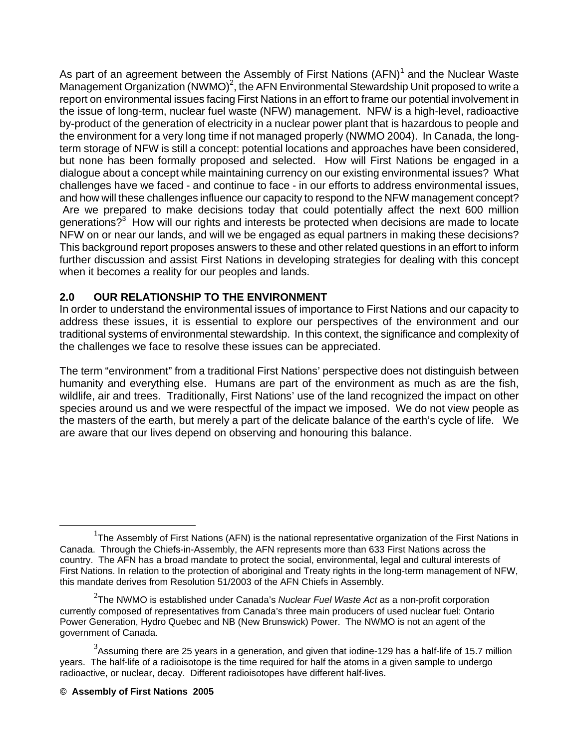As part of an agreement between the Assembly of First Nations (AFN)<sup>1</sup> and the Nuclear Waste Management Organization (NWMO)<sup>2</sup>, the AFN Environmental Stewardship Unit proposed to write a report on environmental issues facing First Nations in an effort to frame our potential involvement in the issue of long-term, nuclear fuel waste (NFW) management. NFW is a high-level, radioactive by-product of the generation of electricity in a nuclear power plant that is hazardous to people and the environment for a very long time if not managed properly (NWMO 2004). In Canada, the longterm storage of NFW is still a concept: potential locations and approaches have been considered, but none has been formally proposed and selected. How will First Nations be engaged in a dialogue about a concept while maintaining currency on our existing environmental issues? What challenges have we faced - and continue to face - in our efforts to address environmental issues, and how will these challenges influence our capacity to respond to the NFW management concept? Are we prepared to make decisions today that could potentially affect the next 600 million generations?<sup>3</sup> How will our rights and interests be protected when decisions are made to locate NFW on or near our lands, and will we be engaged as equal partners in making these decisions? This background report proposes answers to these and other related questions in an effort to inform further discussion and assist First Nations in developing strategies for dealing with this concept when it becomes a reality for our peoples and lands.

## **2.0 OUR RELATIONSHIP TO THE ENVIRONMENT**

In order to understand the environmental issues of importance to First Nations and our capacity to address these issues, it is essential to explore our perspectives of the environment and our traditional systems of environmental stewardship. In this context, the significance and complexity of the challenges we face to resolve these issues can be appreciated.

The term "environment" from a traditional First Nations' perspective does not distinguish between humanity and everything else. Humans are part of the environment as much as are the fish, wildlife, air and trees. Traditionally, First Nations' use of the land recognized the impact on other species around us and we were respectful of the impact we imposed. We do not view people as the masters of the earth, but merely a part of the delicate balance of the earth's cycle of life. We are aware that our lives depend on observing and honouring this balance.

<sup>&</sup>lt;u>1</u>  $T$ The Assembly of First Nations (AFN) is the national representative organization of the First Nations in Canada. Through the Chiefs-in-Assembly, the AFN represents more than 633 First Nations across the country. The AFN has a broad mandate to protect the social, environmental, legal and cultural interests of First Nations. In relation to the protection of aboriginal and Treaty rights in the long-term management of NFW, this mandate derives from Resolution 51/2003 of the AFN Chiefs in Assembly.

<sup>2</sup> The NWMO is established under Canada's *Nuclear Fuel Waste Act* as a non-profit corporation currently composed of representatives from Canada's three main producers of used nuclear fuel: Ontario Power Generation, Hydro Quebec and NB (New Brunswick) Power. The NWMO is not an agent of the government of Canada.

 $3$ Assuming there are 25 years in a generation, and given that iodine-129 has a half-life of 15.7 million years. The half-life of a radioisotope is the time required for half the atoms in a given sample to undergo radioactive, or nuclear, decay. Different radioisotopes have different half-lives.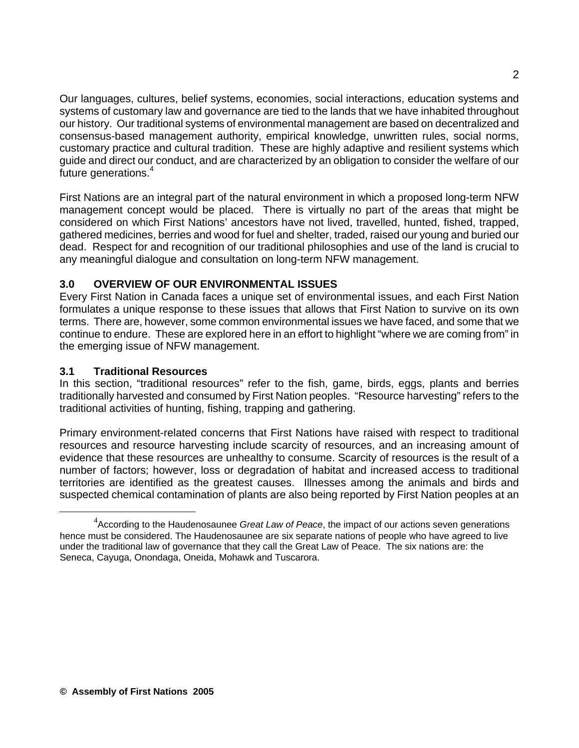Our languages, cultures, belief systems, economies, social interactions, education systems and systems of customary law and governance are tied to the lands that we have inhabited throughout our history. Our traditional systems of environmental management are based on decentralized and consensus-based management authority, empirical knowledge, unwritten rules, social norms, customary practice and cultural tradition. These are highly adaptive and resilient systems which guide and direct our conduct, and are characterized by an obligation to consider the welfare of our future generations.<sup>4</sup>

First Nations are an integral part of the natural environment in which a proposed long-term NFW management concept would be placed. There is virtually no part of the areas that might be considered on which First Nations' ancestors have not lived, travelled, hunted, fished, trapped, gathered medicines, berries and wood for fuel and shelter, traded, raised our young and buried our dead. Respect for and recognition of our traditional philosophies and use of the land is crucial to any meaningful dialogue and consultation on long-term NFW management.

## **3.0 OVERVIEW OF OUR ENVIRONMENTAL ISSUES**

Every First Nation in Canada faces a unique set of environmental issues, and each First Nation formulates a unique response to these issues that allows that First Nation to survive on its own terms. There are, however, some common environmental issues we have faced, and some that we continue to endure. These are explored here in an effort to highlight "where we are coming from" in the emerging issue of NFW management.

## **3.1 Traditional Resources**

In this section, "traditional resources" refer to the fish, game, birds, eggs, plants and berries traditionally harvested and consumed by First Nation peoples. "Resource harvesting" refers to the traditional activities of hunting, fishing, trapping and gathering.

Primary environment-related concerns that First Nations have raised with respect to traditional resources and resource harvesting include scarcity of resources, and an increasing amount of evidence that these resources are unhealthy to consume. Scarcity of resources is the result of a number of factors; however, loss or degradation of habitat and increased access to traditional territories are identified as the greatest causes. Illnesses among the animals and birds and suspected chemical contamination of plants are also being reported by First Nation peoples at an

 $\overline{4}$ According to the Haudenosaunee *Great Law of Peace*, the impact of our actions seven generations hence must be considered. The Haudenosaunee are six separate nations of people who have agreed to live under the traditional law of governance that they call the Great Law of Peace. The six nations are: the Seneca, Cayuga, Onondaga, Oneida, Mohawk and Tuscarora.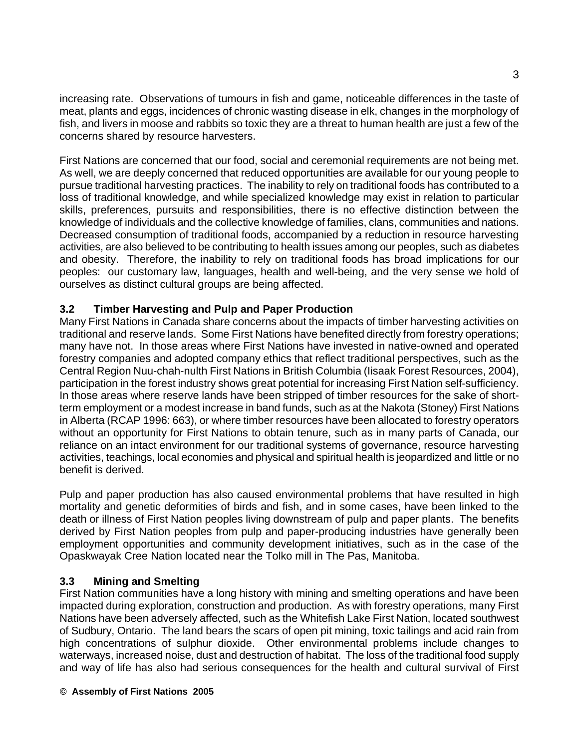increasing rate. Observations of tumours in fish and game, noticeable differences in the taste of meat, plants and eggs, incidences of chronic wasting disease in elk, changes in the morphology of fish, and livers in moose and rabbits so toxic they are a threat to human health are just a few of the concerns shared by resource harvesters.

First Nations are concerned that our food, social and ceremonial requirements are not being met. As well, we are deeply concerned that reduced opportunities are available for our young people to pursue traditional harvesting practices. The inability to rely on traditional foods has contributed to a loss of traditional knowledge, and while specialized knowledge may exist in relation to particular skills, preferences, pursuits and responsibilities, there is no effective distinction between the knowledge of individuals and the collective knowledge of families, clans, communities and nations. Decreased consumption of traditional foods, accompanied by a reduction in resource harvesting activities, are also believed to be contributing to health issues among our peoples, such as diabetes and obesity. Therefore, the inability to rely on traditional foods has broad implications for our peoples: our customary law, languages, health and well-being, and the very sense we hold of ourselves as distinct cultural groups are being affected.

#### **3.2 Timber Harvesting and Pulp and Paper Production**

Many First Nations in Canada share concerns about the impacts of timber harvesting activities on traditional and reserve lands. Some First Nations have benefited directly from forestry operations; many have not. In those areas where First Nations have invested in native-owned and operated forestry companies and adopted company ethics that reflect traditional perspectives, such as the Central Region Nuu-chah-nulth First Nations in British Columbia (Iisaak Forest Resources, 2004), participation in the forest industry shows great potential for increasing First Nation self-sufficiency. In those areas where reserve lands have been stripped of timber resources for the sake of shortterm employment or a modest increase in band funds, such as at the Nakota (Stoney) First Nations in Alberta (RCAP 1996: 663), or where timber resources have been allocated to forestry operators without an opportunity for First Nations to obtain tenure, such as in many parts of Canada, our reliance on an intact environment for our traditional systems of governance, resource harvesting activities, teachings, local economies and physical and spiritual health is jeopardized and little or no benefit is derived.

Pulp and paper production has also caused environmental problems that have resulted in high mortality and genetic deformities of birds and fish, and in some cases, have been linked to the death or illness of First Nation peoples living downstream of pulp and paper plants. The benefits derived by First Nation peoples from pulp and paper-producing industries have generally been employment opportunities and community development initiatives, such as in the case of the Opaskwayak Cree Nation located near the Tolko mill in The Pas, Manitoba.

#### **3.3 Mining and Smelting**

First Nation communities have a long history with mining and smelting operations and have been impacted during exploration, construction and production. As with forestry operations, many First Nations have been adversely affected, such as the Whitefish Lake First Nation, located southwest of Sudbury, Ontario. The land bears the scars of open pit mining, toxic tailings and acid rain from high concentrations of sulphur dioxide. Other environmental problems include changes to waterways, increased noise, dust and destruction of habitat. The loss of the traditional food supply and way of life has also had serious consequences for the health and cultural survival of First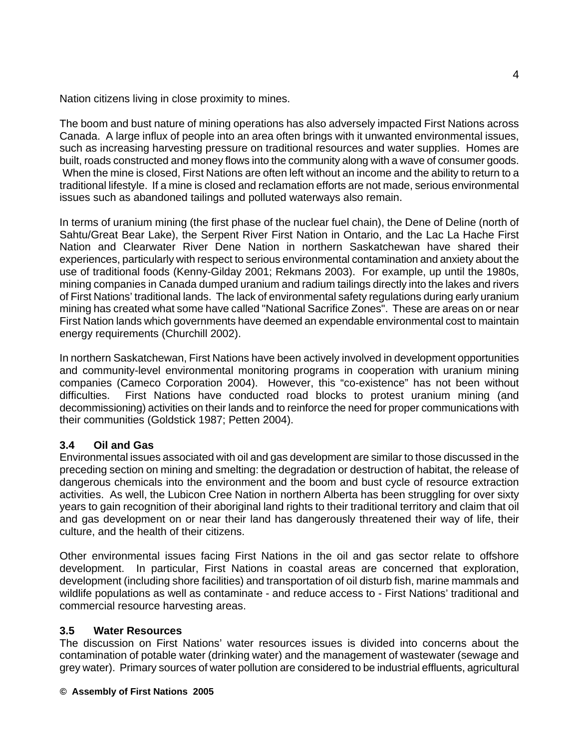Nation citizens living in close proximity to mines.

The boom and bust nature of mining operations has also adversely impacted First Nations across Canada. A large influx of people into an area often brings with it unwanted environmental issues, such as increasing harvesting pressure on traditional resources and water supplies. Homes are built, roads constructed and money flows into the community along with a wave of consumer goods. When the mine is closed, First Nations are often left without an income and the ability to return to a traditional lifestyle. If a mine is closed and reclamation efforts are not made, serious environmental issues such as abandoned tailings and polluted waterways also remain.

In terms of uranium mining (the first phase of the nuclear fuel chain), the Dene of Deline (north of Sahtu/Great Bear Lake), the Serpent River First Nation in Ontario, and the Lac La Hache First Nation and Clearwater River Dene Nation in northern Saskatchewan have shared their experiences, particularly with respect to serious environmental contamination and anxiety about the use of traditional foods (Kenny-Gilday 2001; Rekmans 2003). For example, up until the 1980s, mining companies in Canada dumped uranium and radium tailings directly into the lakes and rivers of First Nations' traditional lands. The lack of environmental safety regulations during early uranium mining has created what some have called "National Sacrifice Zones". These are areas on or near First Nation lands which governments have deemed an expendable environmental cost to maintain energy requirements (Churchill 2002).

In northern Saskatchewan, First Nations have been actively involved in development opportunities and community-level environmental monitoring programs in cooperation with uranium mining companies (Cameco Corporation 2004). However, this "co-existence" has not been without difficulties. First Nations have conducted road blocks to protest uranium mining (and decommissioning) activities on their lands and to reinforce the need for proper communications with their communities (Goldstick 1987; Petten 2004).

## **3.4 Oil and Gas**

Environmental issues associated with oil and gas development are similar to those discussed in the preceding section on mining and smelting: the degradation or destruction of habitat, the release of dangerous chemicals into the environment and the boom and bust cycle of resource extraction activities. As well, the Lubicon Cree Nation in northern Alberta has been struggling for over sixty years to gain recognition of their aboriginal land rights to their traditional territory and claim that oil and gas development on or near their land has dangerously threatened their way of life, their culture, and the health of their citizens.

Other environmental issues facing First Nations in the oil and gas sector relate to offshore development. In particular, First Nations in coastal areas are concerned that exploration, development (including shore facilities) and transportation of oil disturb fish, marine mammals and wildlife populations as well as contaminate - and reduce access to - First Nations' traditional and commercial resource harvesting areas.

#### **3.5 Water Resources**

The discussion on First Nations' water resources issues is divided into concerns about the contamination of potable water (drinking water) and the management of wastewater (sewage and grey water). Primary sources of water pollution are considered to be industrial effluents, agricultural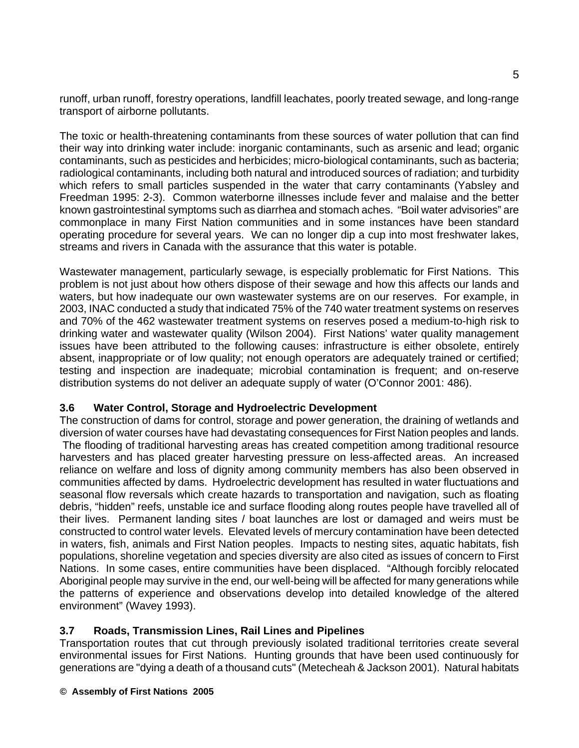runoff, urban runoff, forestry operations, landfill leachates, poorly treated sewage, and long-range transport of airborne pollutants.

The toxic or health-threatening contaminants from these sources of water pollution that can find their way into drinking water include: inorganic contaminants, such as arsenic and lead; organic contaminants, such as pesticides and herbicides; micro-biological contaminants, such as bacteria; radiological contaminants, including both natural and introduced sources of radiation; and turbidity which refers to small particles suspended in the water that carry contaminants (Yabsley and Freedman 1995: 2-3). Common waterborne illnesses include fever and malaise and the better known gastrointestinal symptoms such as diarrhea and stomach aches. "Boil water advisories" are commonplace in many First Nation communities and in some instances have been standard operating procedure for several years. We can no longer dip a cup into most freshwater lakes, streams and rivers in Canada with the assurance that this water is potable.

Wastewater management, particularly sewage, is especially problematic for First Nations. This problem is not just about how others dispose of their sewage and how this affects our lands and waters, but how inadequate our own wastewater systems are on our reserves. For example, in 2003, INAC conducted a study that indicated 75% of the 740 water treatment systems on reserves and 70% of the 462 wastewater treatment systems on reserves posed a medium-to-high risk to drinking water and wastewater quality (Wilson 2004). First Nations' water quality management issues have been attributed to the following causes: infrastructure is either obsolete, entirely absent, inappropriate or of low quality; not enough operators are adequately trained or certified; testing and inspection are inadequate; microbial contamination is frequent; and on-reserve distribution systems do not deliver an adequate supply of water (O'Connor 2001: 486).

## **3.6 Water Control, Storage and Hydroelectric Development**

The construction of dams for control, storage and power generation, the draining of wetlands and diversion of water courses have had devastating consequences for First Nation peoples and lands. The flooding of traditional harvesting areas has created competition among traditional resource harvesters and has placed greater harvesting pressure on less-affected areas. An increased reliance on welfare and loss of dignity among community members has also been observed in communities affected by dams. Hydroelectric development has resulted in water fluctuations and seasonal flow reversals which create hazards to transportation and navigation, such as floating debris, "hidden" reefs, unstable ice and surface flooding along routes people have travelled all of their lives. Permanent landing sites / boat launches are lost or damaged and weirs must be constructed to control water levels. Elevated levels of mercury contamination have been detected in waters, fish, animals and First Nation peoples. Impacts to nesting sites, aquatic habitats, fish populations, shoreline vegetation and species diversity are also cited as issues of concern to First Nations. In some cases, entire communities have been displaced. "Although forcibly relocated Aboriginal people may survive in the end, our well-being will be affected for many generations while the patterns of experience and observations develop into detailed knowledge of the altered environment" (Wavey 1993).

## **3.7 Roads, Transmission Lines, Rail Lines and Pipelines**

Transportation routes that cut through previously isolated traditional territories create several environmental issues for First Nations. Hunting grounds that have been used continuously for generations are "dying a death of a thousand cuts" (Metecheah & Jackson 2001). Natural habitats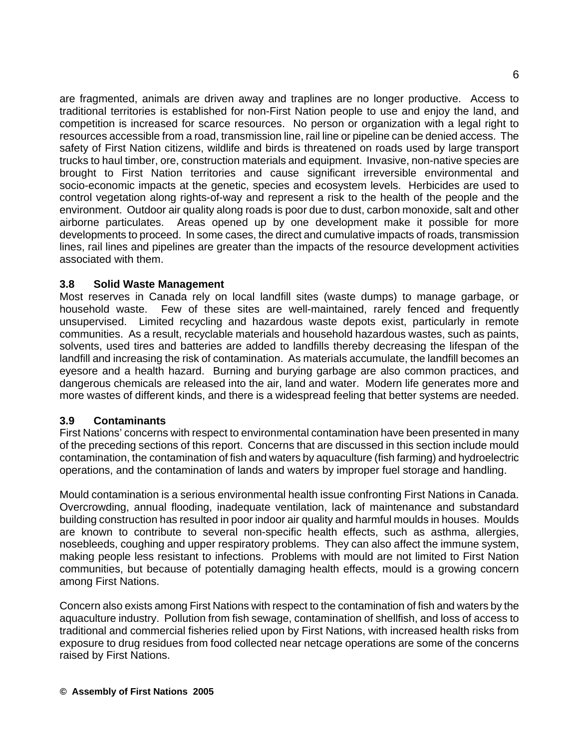are fragmented, animals are driven away and traplines are no longer productive. Access to traditional territories is established for non-First Nation people to use and enjoy the land, and competition is increased for scarce resources. No person or organization with a legal right to resources accessible from a road, transmission line, rail line or pipeline can be denied access. The safety of First Nation citizens, wildlife and birds is threatened on roads used by large transport trucks to haul timber, ore, construction materials and equipment. Invasive, non-native species are brought to First Nation territories and cause significant irreversible environmental and socio-economic impacts at the genetic, species and ecosystem levels. Herbicides are used to control vegetation along rights-of-way and represent a risk to the health of the people and the environment. Outdoor air quality along roads is poor due to dust, carbon monoxide, salt and other airborne particulates. Areas opened up by one development make it possible for more developments to proceed. In some cases, the direct and cumulative impacts of roads, transmission lines, rail lines and pipelines are greater than the impacts of the resource development activities associated with them.

#### **3.8 Solid Waste Management**

Most reserves in Canada rely on local landfill sites (waste dumps) to manage garbage, or household waste. Few of these sites are well-maintained, rarely fenced and frequently unsupervised. Limited recycling and hazardous waste depots exist, particularly in remote communities. As a result, recyclable materials and household hazardous wastes, such as paints, solvents, used tires and batteries are added to landfills thereby decreasing the lifespan of the landfill and increasing the risk of contamination. As materials accumulate, the landfill becomes an eyesore and a health hazard. Burning and burying garbage are also common practices, and dangerous chemicals are released into the air, land and water. Modern life generates more and more wastes of different kinds, and there is a widespread feeling that better systems are needed.

## **3.9 Contaminants**

First Nations' concerns with respect to environmental contamination have been presented in many of the preceding sections of this report. Concerns that are discussed in this section include mould contamination, the contamination of fish and waters by aquaculture (fish farming) and hydroelectric operations, and the contamination of lands and waters by improper fuel storage and handling.

Mould contamination is a serious environmental health issue confronting First Nations in Canada. Overcrowding, annual flooding, inadequate ventilation, lack of maintenance and substandard building construction has resulted in poor indoor air quality and harmful moulds in houses. Moulds are known to contribute to several non-specific health effects, such as asthma, allergies, nosebleeds, coughing and upper respiratory problems. They can also affect the immune system, making people less resistant to infections. Problems with mould are not limited to First Nation communities, but because of potentially damaging health effects, mould is a growing concern among First Nations.

Concern also exists among First Nations with respect to the contamination of fish and waters by the aquaculture industry. Pollution from fish sewage, contamination of shellfish, and loss of access to traditional and commercial fisheries relied upon by First Nations, with increased health risks from exposure to drug residues from food collected near netcage operations are some of the concerns raised by First Nations.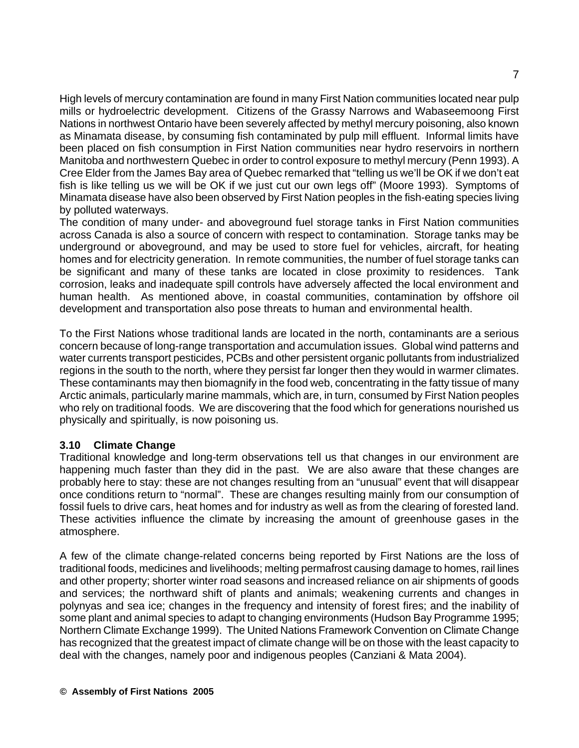High levels of mercury contamination are found in many First Nation communities located near pulp mills or hydroelectric development. Citizens of the Grassy Narrows and Wabaseemoong First Nations in northwest Ontario have been severely affected by methyl mercury poisoning, also known as Minamata disease, by consuming fish contaminated by pulp mill effluent. Informal limits have been placed on fish consumption in First Nation communities near hydro reservoirs in northern Manitoba and northwestern Quebec in order to control exposure to methyl mercury (Penn 1993). A Cree Elder from the James Bay area of Quebec remarked that "telling us we'll be OK if we don't eat fish is like telling us we will be OK if we just cut our own legs off" (Moore 1993). Symptoms of Minamata disease have also been observed by First Nation peoples in the fish-eating species living by polluted waterways.

The condition of many under- and aboveground fuel storage tanks in First Nation communities across Canada is also a source of concern with respect to contamination. Storage tanks may be underground or aboveground, and may be used to store fuel for vehicles, aircraft, for heating homes and for electricity generation. In remote communities, the number of fuel storage tanks can be significant and many of these tanks are located in close proximity to residences. Tank corrosion, leaks and inadequate spill controls have adversely affected the local environment and human health. As mentioned above, in coastal communities, contamination by offshore oil development and transportation also pose threats to human and environmental health.

To the First Nations whose traditional lands are located in the north, contaminants are a serious concern because of long-range transportation and accumulation issues. Global wind patterns and water currents transport pesticides, PCBs and other persistent organic pollutants from industrialized regions in the south to the north, where they persist far longer then they would in warmer climates. These contaminants may then biomagnify in the food web, concentrating in the fatty tissue of many Arctic animals, particularly marine mammals, which are, in turn, consumed by First Nation peoples who rely on traditional foods. We are discovering that the food which for generations nourished us physically and spiritually, is now poisoning us.

## **3.10 Climate Change**

Traditional knowledge and long-term observations tell us that changes in our environment are happening much faster than they did in the past. We are also aware that these changes are probably here to stay: these are not changes resulting from an "unusual" event that will disappear once conditions return to "normal". These are changes resulting mainly from our consumption of fossil fuels to drive cars, heat homes and for industry as well as from the clearing of forested land. These activities influence the climate by increasing the amount of greenhouse gases in the atmosphere.

A few of the climate change-related concerns being reported by First Nations are the loss of traditional foods, medicines and livelihoods; melting permafrost causing damage to homes, rail lines and other property; shorter winter road seasons and increased reliance on air shipments of goods and services; the northward shift of plants and animals; weakening currents and changes in polynyas and sea ice; changes in the frequency and intensity of forest fires; and the inability of some plant and animal species to adapt to changing environments (Hudson Bay Programme 1995; Northern Climate Exchange 1999). The United Nations Framework Convention on Climate Change has recognized that the greatest impact of climate change will be on those with the least capacity to deal with the changes, namely poor and indigenous peoples (Canziani & Mata 2004).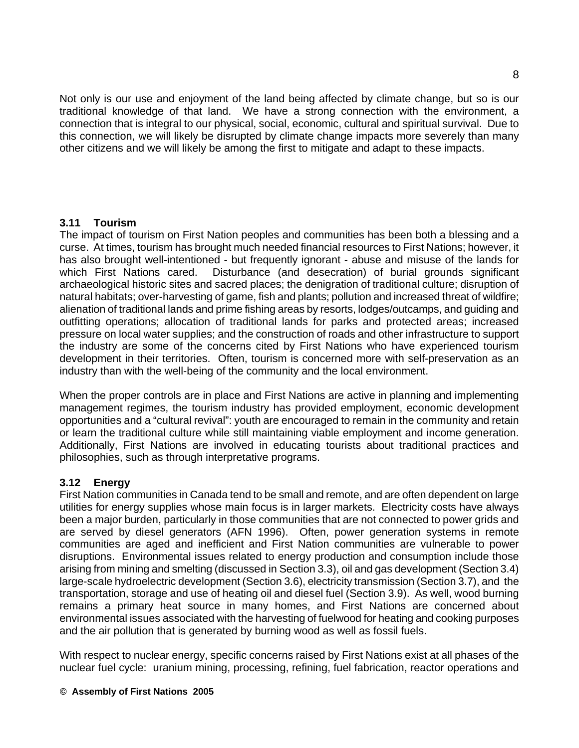Not only is our use and enjoyment of the land being affected by climate change, but so is our traditional knowledge of that land. We have a strong connection with the environment, a connection that is integral to our physical, social, economic, cultural and spiritual survival. Due to this connection, we will likely be disrupted by climate change impacts more severely than many other citizens and we will likely be among the first to mitigate and adapt to these impacts.

#### **3.11 Tourism**

The impact of tourism on First Nation peoples and communities has been both a blessing and a curse. At times, tourism has brought much needed financial resources to First Nations; however, it has also brought well-intentioned - but frequently ignorant - abuse and misuse of the lands for which First Nations cared. Disturbance (and desecration) of burial grounds significant archaeological historic sites and sacred places; the denigration of traditional culture; disruption of natural habitats; over-harvesting of game, fish and plants; pollution and increased threat of wildfire; alienation of traditional lands and prime fishing areas by resorts, lodges/outcamps, and guiding and outfitting operations; allocation of traditional lands for parks and protected areas; increased pressure on local water supplies; and the construction of roads and other infrastructure to support the industry are some of the concerns cited by First Nations who have experienced tourism development in their territories. Often, tourism is concerned more with self-preservation as an industry than with the well-being of the community and the local environment.

When the proper controls are in place and First Nations are active in planning and implementing management regimes, the tourism industry has provided employment, economic development opportunities and a "cultural revival": youth are encouraged to remain in the community and retain or learn the traditional culture while still maintaining viable employment and income generation. Additionally, First Nations are involved in educating tourists about traditional practices and philosophies, such as through interpretative programs.

## **3.12 Energy**

First Nation communities in Canada tend to be small and remote, and are often dependent on large utilities for energy supplies whose main focus is in larger markets. Electricity costs have always been a major burden, particularly in those communities that are not connected to power grids and are served by diesel generators (AFN 1996). Often, power generation systems in remote communities are aged and inefficient and First Nation communities are vulnerable to power disruptions. Environmental issues related to energy production and consumption include those arising from mining and smelting (discussed in Section 3.3), oil and gas development (Section 3.4) large-scale hydroelectric development (Section 3.6), electricity transmission (Section 3.7), and the transportation, storage and use of heating oil and diesel fuel (Section 3.9). As well, wood burning remains a primary heat source in many homes, and First Nations are concerned about environmental issues associated with the harvesting of fuelwood for heating and cooking purposes and the air pollution that is generated by burning wood as well as fossil fuels.

With respect to nuclear energy, specific concerns raised by First Nations exist at all phases of the nuclear fuel cycle: uranium mining, processing, refining, fuel fabrication, reactor operations and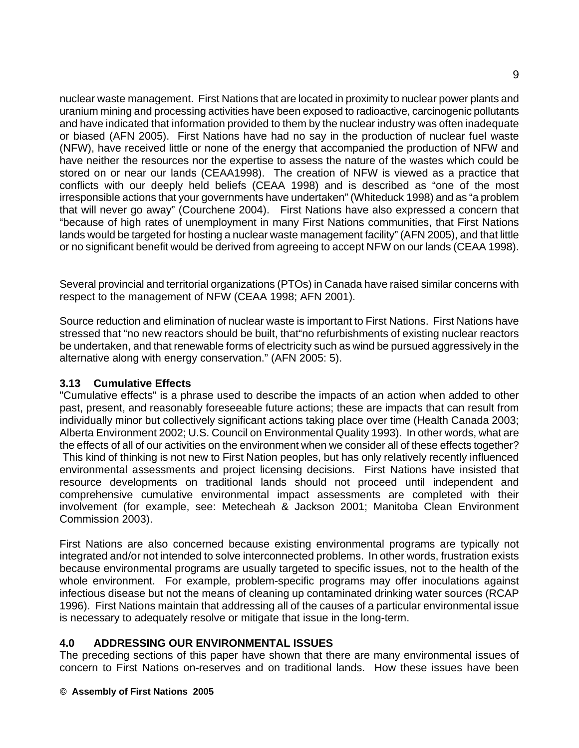nuclear waste management. First Nations that are located in proximity to nuclear power plants and uranium mining and processing activities have been exposed to radioactive, carcinogenic pollutants and have indicated that information provided to them by the nuclear industry was often inadequate or biased (AFN 2005). First Nations have had no say in the production of nuclear fuel waste (NFW), have received little or none of the energy that accompanied the production of NFW and have neither the resources nor the expertise to assess the nature of the wastes which could be stored on or near our lands (CEAA1998). The creation of NFW is viewed as a practice that conflicts with our deeply held beliefs (CEAA 1998) and is described as "one of the most irresponsible actions that your governments have undertaken" (Whiteduck 1998) and as "a problem that will never go away" (Courchene 2004). First Nations have also expressed a concern that "because of high rates of unemployment in many First Nations communities, that First Nations lands would be targeted for hosting a nuclear waste management facility" (AFN 2005), and that little or no significant benefit would be derived from agreeing to accept NFW on our lands (CEAA 1998).

Several provincial and territorial organizations (PTOs) in Canada have raised similar concerns with respect to the management of NFW (CEAA 1998; AFN 2001).

Source reduction and elimination of nuclear waste is important to First Nations. First Nations have stressed that "no new reactors should be built, that"no refurbishments of existing nuclear reactors be undertaken, and that renewable forms of electricity such as wind be pursued aggressively in the alternative along with energy conservation." (AFN 2005: 5).

## **3.13 Cumulative Effects**

"Cumulative effects" is a phrase used to describe the impacts of an action when added to other past, present, and reasonably foreseeable future actions; these are impacts that can result from individually minor but collectively significant actions taking place over time (Health Canada 2003; Alberta Environment 2002; U.S. Council on Environmental Quality 1993). In other words, what are the effects of all of our activities on the environment when we consider all of these effects together? This kind of thinking is not new to First Nation peoples, but has only relatively recently influenced environmental assessments and project licensing decisions. First Nations have insisted that resource developments on traditional lands should not proceed until independent and comprehensive cumulative environmental impact assessments are completed with their involvement (for example, see: Metecheah & Jackson 2001; Manitoba Clean Environment Commission 2003).

First Nations are also concerned because existing environmental programs are typically not integrated and/or not intended to solve interconnected problems. In other words, frustration exists because environmental programs are usually targeted to specific issues, not to the health of the whole environment. For example, problem-specific programs may offer inoculations against infectious disease but not the means of cleaning up contaminated drinking water sources (RCAP 1996). First Nations maintain that addressing all of the causes of a particular environmental issue is necessary to adequately resolve or mitigate that issue in the long-term.

## **4.0 ADDRESSING OUR ENVIRONMENTAL ISSUES**

The preceding sections of this paper have shown that there are many environmental issues of concern to First Nations on-reserves and on traditional lands. How these issues have been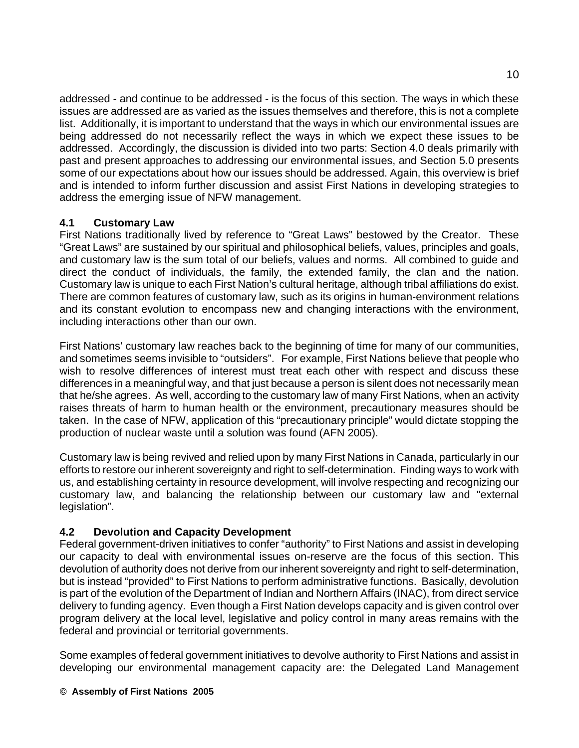addressed - and continue to be addressed - is the focus of this section. The ways in which these issues are addressed are as varied as the issues themselves and therefore, this is not a complete list. Additionally, it is important to understand that the ways in which our environmental issues are being addressed do not necessarily reflect the ways in which we expect these issues to be addressed. Accordingly, the discussion is divided into two parts: Section 4.0 deals primarily with past and present approaches to addressing our environmental issues, and Section 5.0 presents some of our expectations about how our issues should be addressed. Again, this overview is brief and is intended to inform further discussion and assist First Nations in developing strategies to address the emerging issue of NFW management.

#### **4.1 Customary Law**

First Nations traditionally lived by reference to "Great Laws" bestowed by the Creator. These "Great Laws" are sustained by our spiritual and philosophical beliefs, values, principles and goals, and customary law is the sum total of our beliefs, values and norms. All combined to guide and direct the conduct of individuals, the family, the extended family, the clan and the nation. Customary law is unique to each First Nation's cultural heritage, although tribal affiliations do exist. There are common features of customary law, such as its origins in human-environment relations and its constant evolution to encompass new and changing interactions with the environment, including interactions other than our own.

First Nations' customary law reaches back to the beginning of time for many of our communities, and sometimes seems invisible to "outsiders". For example, First Nations believe that people who wish to resolve differences of interest must treat each other with respect and discuss these differences in a meaningful way, and that just because a person is silent does not necessarily mean that he/she agrees. As well, according to the customary law of many First Nations, when an activity raises threats of harm to human health or the environment, precautionary measures should be taken. In the case of NFW, application of this "precautionary principle" would dictate stopping the production of nuclear waste until a solution was found (AFN 2005).

Customary law is being revived and relied upon by many First Nations in Canada, particularly in our efforts to restore our inherent sovereignty and right to self-determination. Finding ways to work with us, and establishing certainty in resource development, will involve respecting and recognizing our customary law, and balancing the relationship between our customary law and "external legislation".

## **4.2 Devolution and Capacity Development**

Federal government-driven initiatives to confer "authority" to First Nations and assist in developing our capacity to deal with environmental issues on-reserve are the focus of this section. This devolution of authority does not derive from our inherent sovereignty and right to self-determination, but is instead "provided" to First Nations to perform administrative functions. Basically, devolution is part of the evolution of the Department of Indian and Northern Affairs (INAC), from direct service delivery to funding agency. Even though a First Nation develops capacity and is given control over program delivery at the local level, legislative and policy control in many areas remains with the federal and provincial or territorial governments.

Some examples of federal government initiatives to devolve authority to First Nations and assist in developing our environmental management capacity are: the Delegated Land Management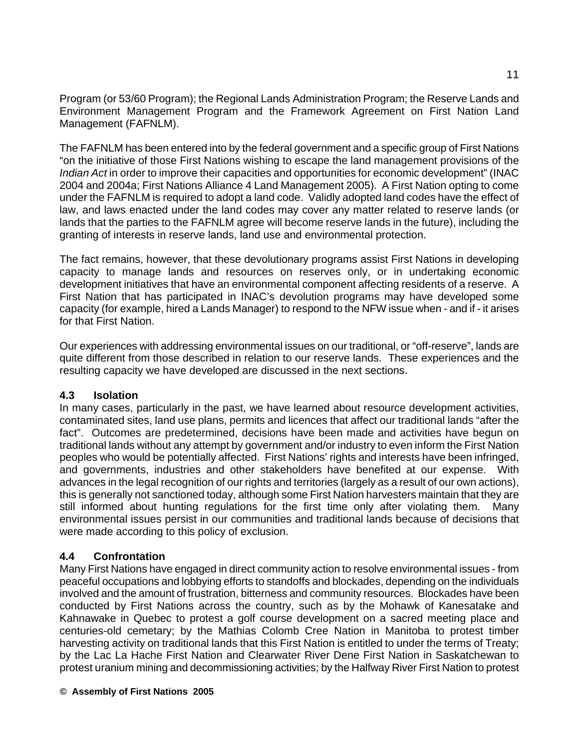Program (or 53/60 Program); the Regional Lands Administration Program; the Reserve Lands and Environment Management Program and the Framework Agreement on First Nation Land Management (FAFNLM).

The FAFNLM has been entered into by the federal government and a specific group of First Nations "on the initiative of those First Nations wishing to escape the land management provisions of the *Indian Act* in order to improve their capacities and opportunities for economic development" (INAC 2004 and 2004a; First Nations Alliance 4 Land Management 2005). A First Nation opting to come under the FAFNLM is required to adopt a land code. Validly adopted land codes have the effect of law, and laws enacted under the land codes may cover any matter related to reserve lands (or lands that the parties to the FAFNLM agree will become reserve lands in the future), including the granting of interests in reserve lands, land use and environmental protection.

The fact remains, however, that these devolutionary programs assist First Nations in developing capacity to manage lands and resources on reserves only, or in undertaking economic development initiatives that have an environmental component affecting residents of a reserve. A First Nation that has participated in INAC's devolution programs may have developed some capacity (for example, hired a Lands Manager) to respond to the NFW issue when - and if - it arises for that First Nation.

Our experiences with addressing environmental issues on our traditional, or "off-reserve", lands are quite different from those described in relation to our reserve lands. These experiences and the resulting capacity we have developed are discussed in the next sections.

## **4.3 Isolation**

In many cases, particularly in the past, we have learned about resource development activities, contaminated sites, land use plans, permits and licences that affect our traditional lands "after the fact". Outcomes are predetermined, decisions have been made and activities have begun on traditional lands without any attempt by government and/or industry to even inform the First Nation peoples who would be potentially affected. First Nations' rights and interests have been infringed, and governments, industries and other stakeholders have benefited at our expense. With advances in the legal recognition of our rights and territories (largely as a result of our own actions), this is generally not sanctioned today, although some First Nation harvesters maintain that they are still informed about hunting regulations for the first time only after violating them. Many environmental issues persist in our communities and traditional lands because of decisions that were made according to this policy of exclusion.

## **4.4 Confrontation**

Many First Nations have engaged in direct community action to resolve environmental issues - from peaceful occupations and lobbying efforts to standoffs and blockades, depending on the individuals involved and the amount of frustration, bitterness and community resources. Blockades have been conducted by First Nations across the country, such as by the Mohawk of Kanesatake and Kahnawake in Quebec to protest a golf course development on a sacred meeting place and centuries-old cemetary; by the Mathias Colomb Cree Nation in Manitoba to protest timber harvesting activity on traditional lands that this First Nation is entitled to under the terms of Treaty; by the Lac La Hache First Nation and Clearwater River Dene First Nation in Saskatchewan to protest uranium mining and decommissioning activities; by the Halfway River First Nation to protest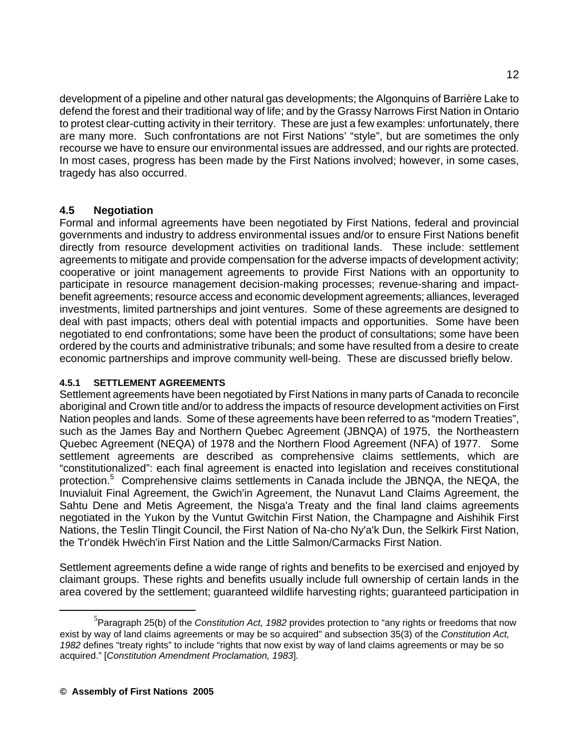development of a pipeline and other natural gas developments; the Algonquins of Barrière Lake to defend the forest and their traditional way of life; and by the Grassy Narrows First Nation in Ontario to protest clear-cutting activity in their territory. These are just a few examples: unfortunately, there are many more. Such confrontations are not First Nations' "style", but are sometimes the only recourse we have to ensure our environmental issues are addressed, and our rights are protected. In most cases, progress has been made by the First Nations involved; however, in some cases, tragedy has also occurred.

## **4.5 Negotiation**

Formal and informal agreements have been negotiated by First Nations, federal and provincial governments and industry to address environmental issues and/or to ensure First Nations benefit directly from resource development activities on traditional lands. These include: settlement agreements to mitigate and provide compensation for the adverse impacts of development activity; cooperative or joint management agreements to provide First Nations with an opportunity to participate in resource management decision-making processes; revenue-sharing and impactbenefit agreements; resource access and economic development agreements; alliances, leveraged investments, limited partnerships and joint ventures. Some of these agreements are designed to deal with past impacts; others deal with potential impacts and opportunities. Some have been negotiated to end confrontations; some have been the product of consultations; some have been ordered by the courts and administrative tribunals; and some have resulted from a desire to create economic partnerships and improve community well-being. These are discussed briefly below.

## **4.5.1 SETTLEMENT AGREEMENTS**

Settlement agreements have been negotiated by First Nations in many parts of Canada to reconcile aboriginal and Crown title and/or to address the impacts of resource development activities on First Nation peoples and lands. Some of these agreements have been referred to as "modern Treaties", such as the James Bay and Northern Quebec Agreement (JBNQA) of 1975, the Northeastern Quebec Agreement (NEQA) of 1978 and the Northern Flood Agreement (NFA) of 1977. Some settlement agreements are described as comprehensive claims settlements, which are "constitutionalized": each final agreement is enacted into legislation and receives constitutional protection.<sup>5</sup> Comprehensive claims settlements in Canada include the JBNQA, the NEQA, the Inuvialuit Final Agreement, the Gwich'in Agreement, the Nunavut Land Claims Agreement, the Sahtu Dene and Metis Agreement, the Nisga'a Treaty and the final land claims agreements negotiated in the Yukon by the Vuntut Gwitchin First Nation, the Champagne and Aishihik First Nations, the Teslin Tlingit Council, the First Nation of Na-cho Ny'a'k Dun, the Selkirk First Nation, the Tr'ondëk Hwëch'in First Nation and the Little Salmon/Carmacks First Nation.

Settlement agreements define a wide range of rights and benefits to be exercised and enjoyed by claimant groups. These rights and benefits usually include full ownership of certain lands in the area covered by the settlement; guaranteed wildlife harvesting rights; guaranteed participation in

 $\frac{1}{5}$ Paragraph 25(b) of the *Constitution Act, 1982* provides protection to "any rights or freedoms that now exist by way of land claims agreements or may be so acquired" and subsection 35(3) of the *Constitution Act, 1982* defines "treaty rights" to include "rights that now exist by way of land claims agreements or may be so acquired." [*Constitution Amendment Proclamation, 1983*].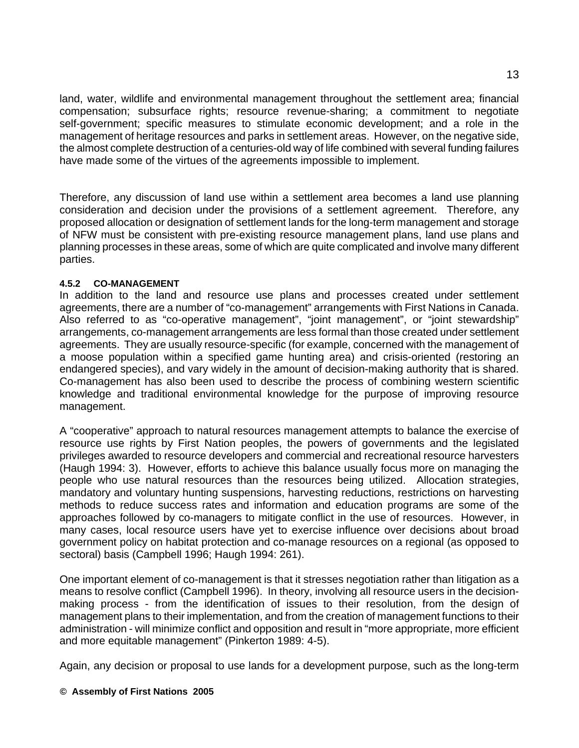land, water, wildlife and environmental management throughout the settlement area; financial compensation; subsurface rights; resource revenue-sharing; a commitment to negotiate self-government; specific measures to stimulate economic development; and a role in the management of heritage resources and parks in settlement areas. However, on the negative side, the almost complete destruction of a centuries-old way of life combined with several funding failures have made some of the virtues of the agreements impossible to implement.

Therefore, any discussion of land use within a settlement area becomes a land use planning consideration and decision under the provisions of a settlement agreement. Therefore, any proposed allocation or designation of settlement lands for the long-term management and storage of NFW must be consistent with pre-existing resource management plans, land use plans and planning processes in these areas, some of which are quite complicated and involve many different parties.

#### **4.5.2 CO-MANAGEMENT**

In addition to the land and resource use plans and processes created under settlement agreements, there are a number of "co-management" arrangements with First Nations in Canada. Also referred to as "co-operative management", "joint management", or "joint stewardship" arrangements, co-management arrangements are less formal than those created under settlement agreements. They are usually resource-specific (for example, concerned with the management of a moose population within a specified game hunting area) and crisis-oriented (restoring an endangered species), and vary widely in the amount of decision-making authority that is shared. Co-management has also been used to describe the process of combining western scientific knowledge and traditional environmental knowledge for the purpose of improving resource management.

A "cooperative" approach to natural resources management attempts to balance the exercise of resource use rights by First Nation peoples, the powers of governments and the legislated privileges awarded to resource developers and commercial and recreational resource harvesters (Haugh 1994: 3). However, efforts to achieve this balance usually focus more on managing the people who use natural resources than the resources being utilized. Allocation strategies, mandatory and voluntary hunting suspensions, harvesting reductions, restrictions on harvesting methods to reduce success rates and information and education programs are some of the approaches followed by co-managers to mitigate conflict in the use of resources. However, in many cases, local resource users have yet to exercise influence over decisions about broad government policy on habitat protection and co-manage resources on a regional (as opposed to sectoral) basis (Campbell 1996; Haugh 1994: 261).

One important element of co-management is that it stresses negotiation rather than litigation as a means to resolve conflict (Campbell 1996). In theory, involving all resource users in the decisionmaking process - from the identification of issues to their resolution, from the design of management plans to their implementation, and from the creation of management functions to their administration - will minimize conflict and opposition and result in "more appropriate, more efficient and more equitable management" (Pinkerton 1989: 4-5).

Again, any decision or proposal to use lands for a development purpose, such as the long-term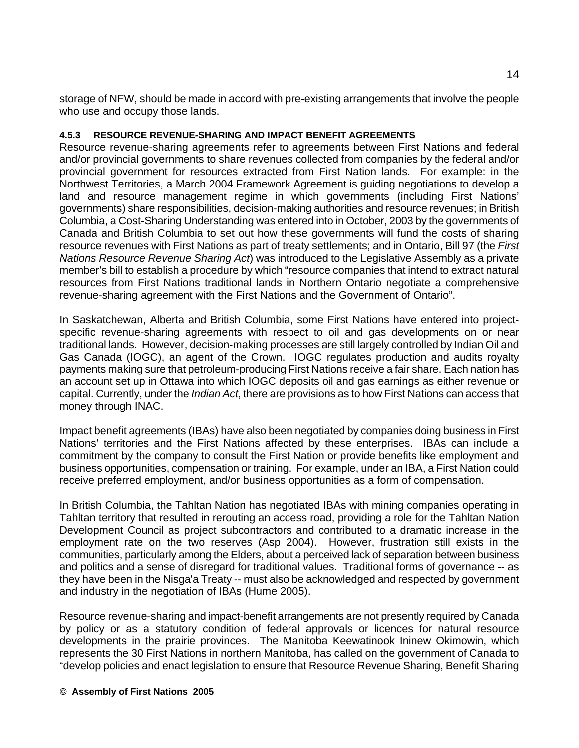storage of NFW, should be made in accord with pre-existing arrangements that involve the people who use and occupy those lands.

#### **4.5.3 RESOURCE REVENUE-SHARING AND IMPACT BENEFIT AGREEMENTS**

Resource revenue-sharing agreements refer to agreements between First Nations and federal and/or provincial governments to share revenues collected from companies by the federal and/or provincial government for resources extracted from First Nation lands. For example: in the Northwest Territories, a March 2004 Framework Agreement is guiding negotiations to develop a land and resource management regime in which governments (including First Nations' governments) share responsibilities, decision-making authorities and resource revenues; in British Columbia, a Cost-Sharing Understanding was entered into in October, 2003 by the governments of Canada and British Columbia to set out how these governments will fund the costs of sharing resource revenues with First Nations as part of treaty settlements; and in Ontario, Bill 97 (the *First Nations Resource Revenue Sharing Act*) was introduced to the Legislative Assembly as a private member's bill to establish a procedure by which "resource companies that intend to extract natural resources from First Nations traditional lands in Northern Ontario negotiate a comprehensive revenue-sharing agreement with the First Nations and the Government of Ontario".

In Saskatchewan, Alberta and British Columbia, some First Nations have entered into projectspecific revenue-sharing agreements with respect to oil and gas developments on or near traditional lands. However, decision-making processes are still largely controlled by Indian Oil and Gas Canada (IOGC), an agent of the Crown. IOGC regulates production and audits royalty payments making sure that petroleum-producing First Nations receive a fair share. Each nation has an account set up in Ottawa into which IOGC deposits oil and gas earnings as either revenue or capital. Currently, under the *Indian Act*, there are provisions as to how First Nations can access that money through INAC.

Impact benefit agreements (IBAs) have also been negotiated by companies doing business in First Nations' territories and the First Nations affected by these enterprises. IBAs can include a commitment by the company to consult the First Nation or provide benefits like employment and business opportunities, compensation or training. For example, under an IBA, a First Nation could receive preferred employment, and/or business opportunities as a form of compensation.

In British Columbia, the Tahltan Nation has negotiated IBAs with mining companies operating in Tahltan territory that resulted in rerouting an access road, providing a role for the Tahltan Nation Development Council as project subcontractors and contributed to a dramatic increase in the employment rate on the two reserves (Asp 2004). However, frustration still exists in the communities, particularly among the Elders, about a perceived lack of separation between business and politics and a sense of disregard for traditional values. Traditional forms of governance -- as they have been in the Nisga'a Treaty -- must also be acknowledged and respected by government and industry in the negotiation of IBAs (Hume 2005).

Resource revenue-sharing and impact-benefit arrangements are not presently required by Canada by policy or as a statutory condition of federal approvals or licences for natural resource developments in the prairie provinces. The Manitoba Keewatinook Ininew Okimowin, which represents the 30 First Nations in northern Manitoba, has called on the government of Canada to "develop policies and enact legislation to ensure that Resource Revenue Sharing, Benefit Sharing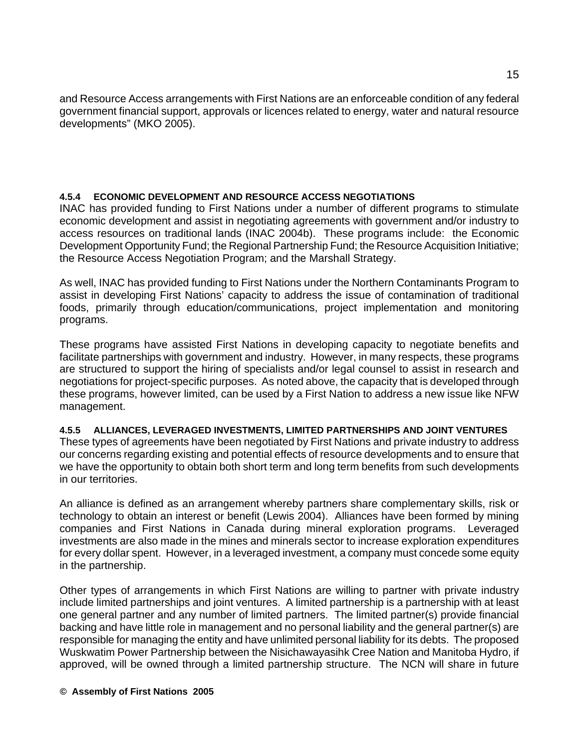and Resource Access arrangements with First Nations are an enforceable condition of any federal government financial support, approvals or licences related to energy, water and natural resource developments" (MKO 2005).

#### **4.5.4 ECONOMIC DEVELOPMENT AND RESOURCE ACCESS NEGOTIATIONS**

INAC has provided funding to First Nations under a number of different programs to stimulate economic development and assist in negotiating agreements with government and/or industry to access resources on traditional lands (INAC 2004b). These programs include: the Economic Development Opportunity Fund; the Regional Partnership Fund; the Resource Acquisition Initiative; the Resource Access Negotiation Program; and the Marshall Strategy.

As well, INAC has provided funding to First Nations under the Northern Contaminants Program to assist in developing First Nations' capacity to address the issue of contamination of traditional foods, primarily through education/communications, project implementation and monitoring programs.

These programs have assisted First Nations in developing capacity to negotiate benefits and facilitate partnerships with government and industry. However, in many respects, these programs are structured to support the hiring of specialists and/or legal counsel to assist in research and negotiations for project-specific purposes. As noted above, the capacity that is developed through these programs, however limited, can be used by a First Nation to address a new issue like NFW management.

#### **4.5.5 ALLIANCES, LEVERAGED INVESTMENTS, LIMITED PARTNERSHIPS AND JOINT VENTURES**

These types of agreements have been negotiated by First Nations and private industry to address our concerns regarding existing and potential effects of resource developments and to ensure that we have the opportunity to obtain both short term and long term benefits from such developments in our territories.

An alliance is defined as an arrangement whereby partners share complementary skills, risk or technology to obtain an interest or benefit (Lewis 2004). Alliances have been formed by mining companies and First Nations in Canada during mineral exploration programs. Leveraged investments are also made in the mines and minerals sector to increase exploration expenditures for every dollar spent. However, in a leveraged investment, a company must concede some equity in the partnership.

Other types of arrangements in which First Nations are willing to partner with private industry include limited partnerships and joint ventures. A limited partnership is a partnership with at least one general partner and any number of limited partners. The limited partner(s) provide financial backing and have little role in management and no personal liability and the general partner(s) are responsible for managing the entity and have unlimited personal liability for its debts. The proposed Wuskwatim Power Partnership between the Nisichawayasihk Cree Nation and Manitoba Hydro, if approved, will be owned through a limited partnership structure. The NCN will share in future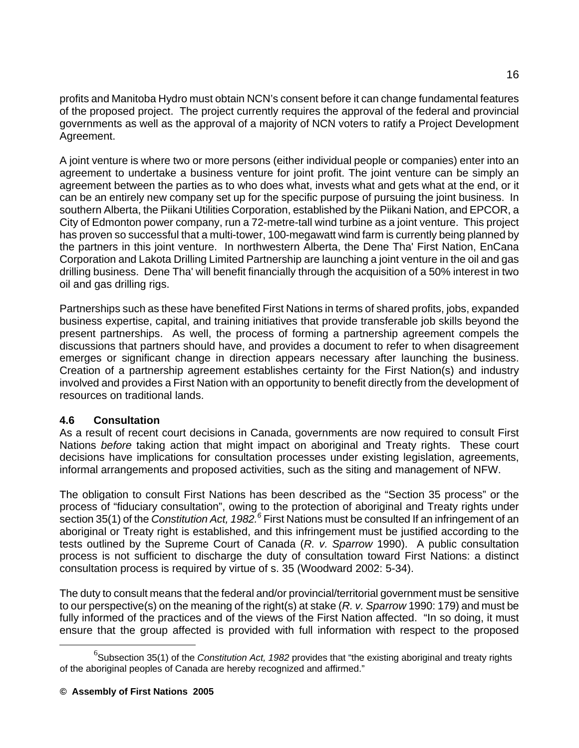profits and Manitoba Hydro must obtain NCN's consent before it can change fundamental features of the proposed project. The project currently requires the approval of the federal and provincial governments as well as the approval of a majority of NCN voters to ratify a Project Development Agreement.

A joint venture is where two or more persons (either individual people or companies) enter into an agreement to undertake a business venture for joint profit. The joint venture can be simply an agreement between the parties as to who does what, invests what and gets what at the end, or it can be an entirely new company set up for the specific purpose of pursuing the joint business. In southern Alberta, the Piikani Utilities Corporation, established by the Piikani Nation, and EPCOR, a City of Edmonton power company, run a 72-metre-tall wind turbine as a joint venture. This project has proven so successful that a multi-tower, 100-megawatt wind farm is currently being planned by the partners in this joint venture. In northwestern Alberta, the Dene Tha' First Nation, EnCana Corporation and Lakota Drilling Limited Partnership are launching a joint venture in the oil and gas drilling business. Dene Tha' will benefit financially through the acquisition of a 50% interest in two oil and gas drilling rigs.

Partnerships such as these have benefited First Nations in terms of shared profits, jobs, expanded business expertise, capital, and training initiatives that provide transferable job skills beyond the present partnerships. As well, the process of forming a partnership agreement compels the discussions that partners should have, and provides a document to refer to when disagreement emerges or significant change in direction appears necessary after launching the business. Creation of a partnership agreement establishes certainty for the First Nation(s) and industry involved and provides a First Nation with an opportunity to benefit directly from the development of resources on traditional lands.

## **4.6 Consultation**

As a result of recent court decisions in Canada, governments are now required to consult First Nations *before* taking action that might impact on aboriginal and Treaty rights. These court decisions have implications for consultation processes under existing legislation, agreements, informal arrangements and proposed activities, such as the siting and management of NFW.

The obligation to consult First Nations has been described as the "Section 35 process" or the process of "fiduciary consultation", owing to the protection of aboriginal and Treaty rights under section 35(1) of the *Constitution Act, 1982.<sup>6</sup>* First Nations must be consulted If an infringement of an aboriginal or Treaty right is established, and this infringement must be justified according to the tests outlined by the Supreme Court of Canada (*R. v. Sparrow* 1990). A public consultation process is not sufficient to discharge the duty of consultation toward First Nations: a distinct consultation process is required by virtue of s. 35 (Woodward 2002: 5-34).

The duty to consult means that the federal and/or provincial/territorial government must be sensitive to our perspective(s) on the meaning of the right(s) at stake (*R. v. Sparrow* 1990: 179) and must be fully informed of the practices and of the views of the First Nation affected. "In so doing, it must ensure that the group affected is provided with full information with respect to the proposed

 <sup>6</sup> <sup>o</sup>Subsection 35(1) of the *Constitution Act, 1982* provides that "the existing aboriginal and treaty rights of the aboriginal peoples of Canada are hereby recognized and affirmed."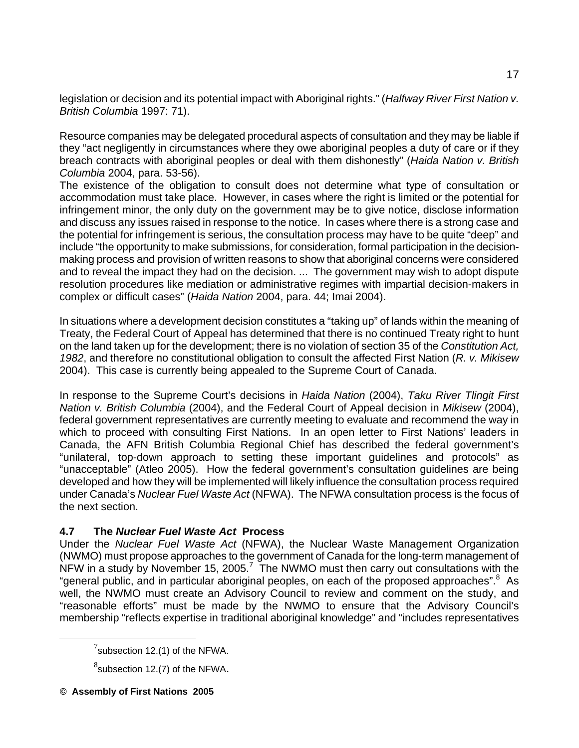legislation or decision and its potential impact with Aboriginal rights." (*Halfway River First Nation v. British Columbia* 1997: 71).

Resource companies may be delegated procedural aspects of consultation and they may be liable if they "act negligently in circumstances where they owe aboriginal peoples a duty of care or if they breach contracts with aboriginal peoples or deal with them dishonestly" (*Haida Nation v. British Columbia* 2004, para. 53-56).

The existence of the obligation to consult does not determine what type of consultation or accommodation must take place. However, in cases where the right is limited or the potential for infringement minor, the only duty on the government may be to give notice, disclose information and discuss any issues raised in response to the notice. In cases where there is a strong case and the potential for infringement is serious, the consultation process may have to be quite "deep" and include "the opportunity to make submissions, for consideration, formal participation in the decisionmaking process and provision of written reasons to show that aboriginal concerns were considered and to reveal the impact they had on the decision. ... The government may wish to adopt dispute resolution procedures like mediation or administrative regimes with impartial decision-makers in complex or difficult cases" (*Haida Nation* 2004, para. 44; Imai 2004).

In situations where a development decision constitutes a "taking up" of lands within the meaning of Treaty, the Federal Court of Appeal has determined that there is no continued Treaty right to hunt on the land taken up for the development; there is no violation of section 35 of the *Constitution Act, 1982*, and therefore no constitutional obligation to consult the affected First Nation (*R. v. Mikisew* 2004). This case is currently being appealed to the Supreme Court of Canada.

In response to the Supreme Court's decisions in *Haida Nation* (2004), *Taku River Tlingit First Nation v. British Columbia* (2004), and the Federal Court of Appeal decision in *Mikisew* (2004), federal government representatives are currently meeting to evaluate and recommend the way in which to proceed with consulting First Nations. In an open letter to First Nations' leaders in Canada, the AFN British Columbia Regional Chief has described the federal government's "unilateral, top-down approach to setting these important guidelines and protocols" as "unacceptable" (Atleo 2005). How the federal government's consultation guidelines are being developed and how they will be implemented will likely influence the consultation process required under Canada's *Nuclear Fuel Waste Act* (NFWA). The NFWA consultation process is the focus of the next section.

## **4.7 The** *Nuclear Fuel Waste Act* **Process**

Under the *Nuclear Fuel Waste Act* (NFWA), the Nuclear Waste Management Organization (NWMO) must propose approaches to the government of Canada for the long-term management of NFW in a study by November 15, 2005.<sup>7</sup> The NWMO must then carry out consultations with the "general public, and in particular aboriginal peoples, on each of the proposed approaches". As well, the NWMO must create an Advisory Council to review and comment on the study, and "reasonable efforts" must be made by the NWMO to ensure that the Advisory Council's membership "reflects expertise in traditional aboriginal knowledge" and "includes representatives

 <sup>7</sup>  $7$ subsection 12.(1) of the NFWA.

 $^8$ subsection 12.(7) of the NFWA.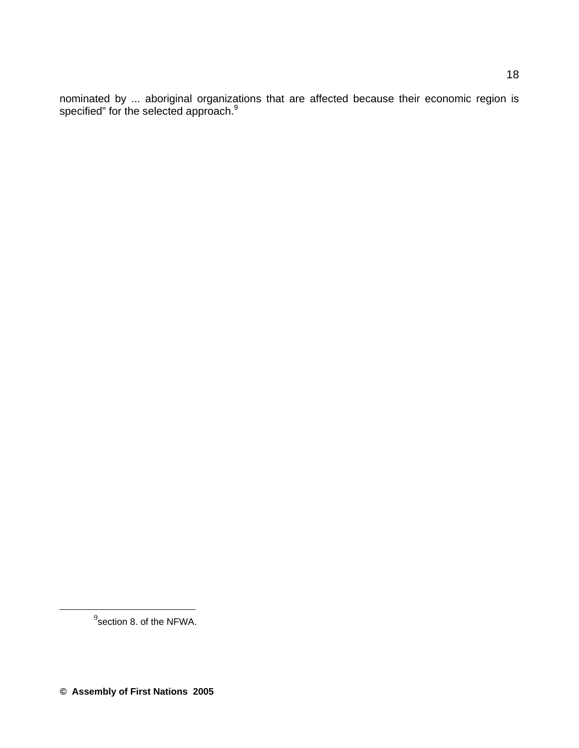nominated by ... aboriginal organizations that are affected because their economic region is specified" for the selected approach.<sup>9</sup>

 <sup>9</sup> section 8. of the NFWA.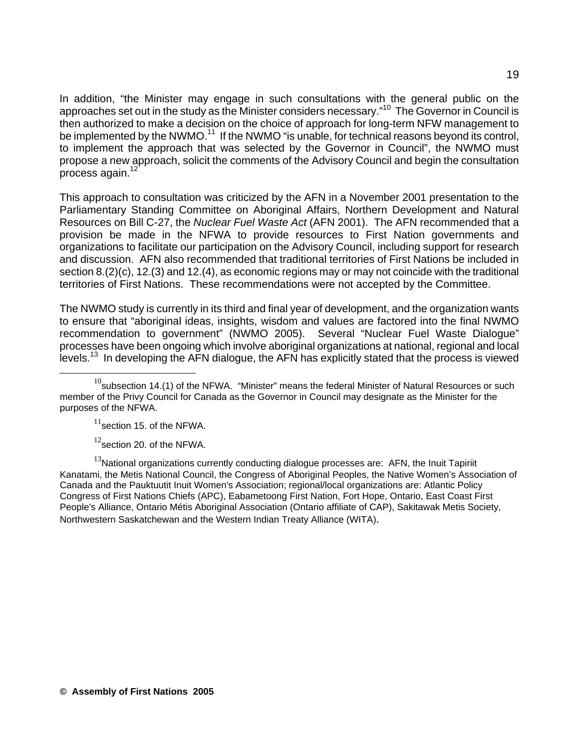In addition, "the Minister may engage in such consultations with the general public on the approaches set out in the study as the Minister considers necessary."10 The Governor in Council is then authorized to make a decision on the choice of approach for long-term NFW management to be implemented by the NWMO.<sup>11</sup> If the NWMO "is unable, for technical reasons beyond its control, to implement the approach that was selected by the Governor in Council", the NWMO must propose a new approach, solicit the comments of the Advisory Council and begin the consultation process again.<sup>12</sup>

This approach to consultation was criticized by the AFN in a November 2001 presentation to the Parliamentary Standing Committee on Aboriginal Affairs, Northern Development and Natural Resources on Bill C-27, the *Nuclear Fuel Waste Act* (AFN 2001). The AFN recommended that a provision be made in the NFWA to provide resources to First Nation governments and organizations to facilitate our participation on the Advisory Council, including support for research and discussion. AFN also recommended that traditional territories of First Nations be included in section 8.(2)(c), 12.(3) and 12.(4), as economic regions may or may not coincide with the traditional territories of First Nations. These recommendations were not accepted by the Committee.

The NWMO study is currently in its third and final year of development, and the organization wants to ensure that "aboriginal ideas, insights, wisdom and values are factored into the final NWMO recommendation to government" (NWMO 2005). Several "Nuclear Fuel Waste Dialogue" processes have been ongoing which involve aboriginal organizations at national, regional and local levels.<sup>13</sup> In developing the AFN dialogue, the AFN has explicitly stated that the process is viewed

 $11$ section 15. of the NFWA.

 $12$ section 20. of the NFWA.

 $13$ National organizations currently conducting dialogue processes are: AFN, the Inuit Tapiriit Kanatami, the Metis National Council, the Congress of Aboriginal Peoples, the Native Women's Association of Canada and the Pauktuutit Inuit Women's Association; regional/local organizations are: Atlantic Policy Congress of First Nations Chiefs (APC), Eabametoong First Nation, Fort Hope, Ontario, East Coast First People's Alliance, Ontario Métis Aboriginal Association (Ontario affiliate of CAP), Sakitawak Metis Society, Northwestern Saskatchewan and the Western Indian Treaty Alliance (WITA).

 $10$ subsection 14.(1) of the NFWA. "Minister" means the federal Minister of Natural Resources or such member of the Privy Council for Canada as the Governor in Council may designate as the Minister for the purposes of the NFWA.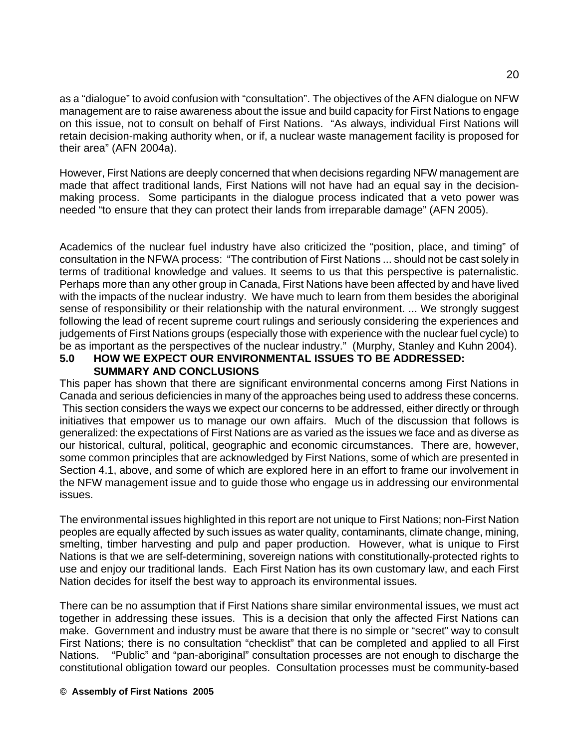as a "dialogue" to avoid confusion with "consultation". The objectives of the AFN dialogue on NFW management are to raise awareness about the issue and build capacity for First Nations to engage on this issue, not to consult on behalf of First Nations. "As always, individual First Nations will retain decision-making authority when, or if, a nuclear waste management facility is proposed for their area" (AFN 2004a).

However, First Nations are deeply concerned that when decisions regarding NFW management are made that affect traditional lands, First Nations will not have had an equal say in the decisionmaking process. Some participants in the dialogue process indicated that a veto power was needed "to ensure that they can protect their lands from irreparable damage" (AFN 2005).

Academics of the nuclear fuel industry have also criticized the "position, place, and timing" of consultation in the NFWA process: "The contribution of First Nations ... should not be cast solely in terms of traditional knowledge and values. It seems to us that this perspective is paternalistic. Perhaps more than any other group in Canada, First Nations have been affected by and have lived with the impacts of the nuclear industry. We have much to learn from them besides the aboriginal sense of responsibility or their relationship with the natural environment. ... We strongly suggest following the lead of recent supreme court rulings and seriously considering the experiences and judgements of First Nations groups (especially those with experience with the nuclear fuel cycle) to be as important as the perspectives of the nuclear industry." (Murphy, Stanley and Kuhn 2004).

#### **5.0 HOW WE EXPECT OUR ENVIRONMENTAL ISSUES TO BE ADDRESSED: SUMMARY AND CONCLUSIONS**

This paper has shown that there are significant environmental concerns among First Nations in Canada and serious deficiencies in many of the approaches being used to address these concerns. This section considers the ways we expect our concerns to be addressed, either directly or through initiatives that empower us to manage our own affairs. Much of the discussion that follows is generalized: the expectations of First Nations are as varied as the issues we face and as diverse as our historical, cultural, political, geographic and economic circumstances. There are, however, some common principles that are acknowledged by First Nations, some of which are presented in Section 4.1, above, and some of which are explored here in an effort to frame our involvement in the NFW management issue and to guide those who engage us in addressing our environmental issues.

The environmental issues highlighted in this report are not unique to First Nations; non-First Nation peoples are equally affected by such issues as water quality, contaminants, climate change, mining, smelting, timber harvesting and pulp and paper production. However, what is unique to First Nations is that we are self-determining, sovereign nations with constitutionally-protected rights to use and enjoy our traditional lands. Each First Nation has its own customary law, and each First Nation decides for itself the best way to approach its environmental issues.

There can be no assumption that if First Nations share similar environmental issues, we must act together in addressing these issues. This is a decision that only the affected First Nations can make. Government and industry must be aware that there is no simple or "secret" way to consult First Nations; there is no consultation "checklist" that can be completed and applied to all First Nations. "Public" and "pan-aboriginal" consultation processes are not enough to discharge the constitutional obligation toward our peoples. Consultation processes must be community-based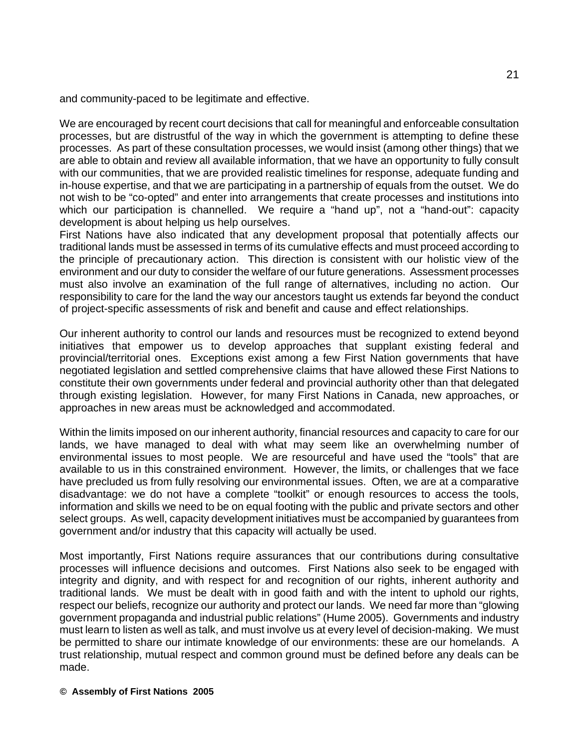and community-paced to be legitimate and effective.

We are encouraged by recent court decisions that call for meaningful and enforceable consultation processes, but are distrustful of the way in which the government is attempting to define these processes. As part of these consultation processes, we would insist (among other things) that we are able to obtain and review all available information, that we have an opportunity to fully consult with our communities, that we are provided realistic timelines for response, adequate funding and in-house expertise, and that we are participating in a partnership of equals from the outset. We do not wish to be "co-opted" and enter into arrangements that create processes and institutions into which our participation is channelled. We require a "hand up", not a "hand-out": capacity development is about helping us help ourselves.

First Nations have also indicated that any development proposal that potentially affects our traditional lands must be assessed in terms of its cumulative effects and must proceed according to the principle of precautionary action. This direction is consistent with our holistic view of the environment and our duty to consider the welfare of our future generations. Assessment processes must also involve an examination of the full range of alternatives, including no action. Our responsibility to care for the land the way our ancestors taught us extends far beyond the conduct of project-specific assessments of risk and benefit and cause and effect relationships.

Our inherent authority to control our lands and resources must be recognized to extend beyond initiatives that empower us to develop approaches that supplant existing federal and provincial/territorial ones. Exceptions exist among a few First Nation governments that have negotiated legislation and settled comprehensive claims that have allowed these First Nations to constitute their own governments under federal and provincial authority other than that delegated through existing legislation. However, for many First Nations in Canada, new approaches, or approaches in new areas must be acknowledged and accommodated.

Within the limits imposed on our inherent authority, financial resources and capacity to care for our lands, we have managed to deal with what may seem like an overwhelming number of environmental issues to most people. We are resourceful and have used the "tools" that are available to us in this constrained environment. However, the limits, or challenges that we face have precluded us from fully resolving our environmental issues. Often, we are at a comparative disadvantage: we do not have a complete "toolkit" or enough resources to access the tools, information and skills we need to be on equal footing with the public and private sectors and other select groups. As well, capacity development initiatives must be accompanied by guarantees from government and/or industry that this capacity will actually be used.

Most importantly, First Nations require assurances that our contributions during consultative processes will influence decisions and outcomes. First Nations also seek to be engaged with integrity and dignity, and with respect for and recognition of our rights, inherent authority and traditional lands. We must be dealt with in good faith and with the intent to uphold our rights, respect our beliefs, recognize our authority and protect our lands. We need far more than "glowing government propaganda and industrial public relations" (Hume 2005). Governments and industry must learn to listen as well as talk, and must involve us at every level of decision-making. We must be permitted to share our intimate knowledge of our environments: these are our homelands. A trust relationship, mutual respect and common ground must be defined before any deals can be made.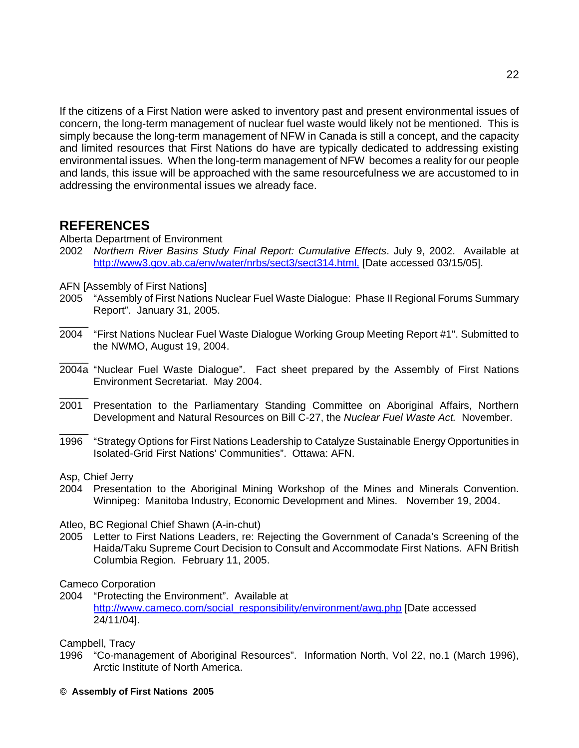If the citizens of a First Nation were asked to inventory past and present environmental issues of concern, the long-term management of nuclear fuel waste would likely not be mentioned. This is simply because the long-term management of NFW in Canada is still a concept, and the capacity and limited resources that First Nations do have are typically dedicated to addressing existing environmental issues. When the long-term management of NFW becomes a reality for our people and lands, this issue will be approached with the same resourcefulness we are accustomed to in addressing the environmental issues we already face.

## **REFERENCES**

 $\overline{\phantom{a}}$ 

 $\overline{\phantom{a}}$ 

- Alberta Department of Environment
- 2002 *Northern River Basins Study Final Report: Cumulative Effects*. July 9, 2002. Available at http://www3.gov.ab.ca/env/water/nrbs/sect3/sect314.html. [Date accessed 03/15/05].
- AFN [Assembly of First Nations]
- 2005 "Assembly of First Nations Nuclear Fuel Waste Dialogue: Phase II Regional Forums Summary Report". January 31, 2005.
- 2004 "First Nations Nuclear Fuel Waste Dialogue Working Group Meeting Report #1". Submitted to the NWMO, August 19, 2004.
- $\overline{\phantom{a}}$ 2004a "Nuclear Fuel Waste Dialogue". Fact sheet prepared by the Assembly of First Nations Environment Secretariat. May 2004.
- $\overline{\phantom{a}}$ 2001 Presentation to the Parliamentary Standing Committee on Aboriginal Affairs, Northern Development and Natural Resources on Bill C-27, the *Nuclear Fuel Waste Act.* November.
- 1996 "Strategy Options for First Nations Leadership to Catalyze Sustainable Energy Opportunities in Isolated-Grid First Nations' Communities". Ottawa: AFN.

Asp, Chief Jerry

2004 Presentation to the Aboriginal Mining Workshop of the Mines and Minerals Convention. Winnipeg: Manitoba Industry, Economic Development and Mines. November 19, 2004.

Atleo, BC Regional Chief Shawn (A-in-chut)

2005 Letter to First Nations Leaders, re: Rejecting the Government of Canada's Screening of the Haida/Taku Supreme Court Decision to Consult and Accommodate First Nations. AFN British Columbia Region. February 11, 2005.

Cameco Corporation

2004 "Protecting the Environment". Available at http://www.cameco.com/social\_responsibility/environment/awg.php [Date accessed 24/11/04].

Campbell, Tracy

- 1996 "Co-management of Aboriginal Resources". Information North, Vol 22, no.1 (March 1996), Arctic Institute of North America.
- **© Assembly of First Nations 2005**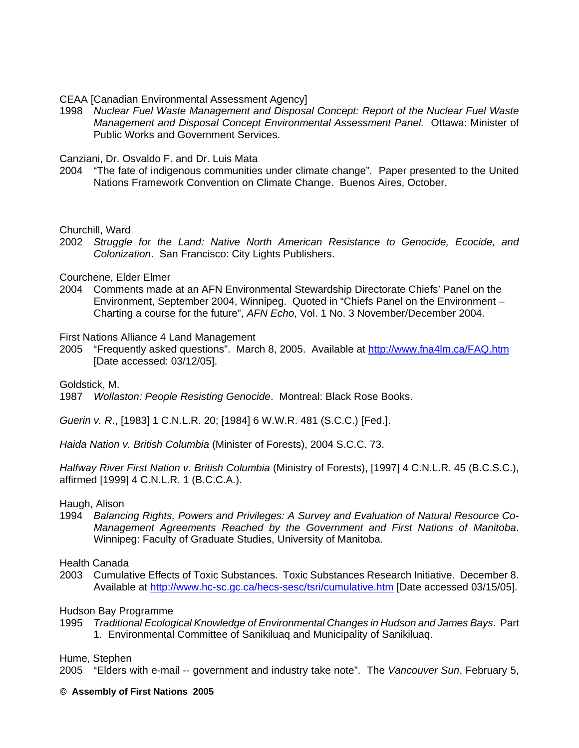CEAA [Canadian Environmental Assessment Agency]

1998 *Nuclear Fuel Waste Management and Disposal Concept: Report of the Nuclear Fuel Waste Management and Disposal Concept Environmental Assessment Panel.* Ottawa: Minister of Public Works and Government Services.

Canziani, Dr. Osvaldo F. and Dr. Luis Mata

2004 "The fate of indigenous communities under climate change". Paper presented to the United Nations Framework Convention on Climate Change. Buenos Aires, October.

Churchill, Ward

2002 *Struggle for the Land: Native North American Resistance to Genocide, Ecocide, and Colonization*. San Francisco: City Lights Publishers.

Courchene, Elder Elmer

2004 Comments made at an AFN Environmental Stewardship Directorate Chiefs' Panel on the Environment, September 2004, Winnipeg. Quoted in "Chiefs Panel on the Environment – Charting a course for the future", *AFN Echo*, Vol. 1 No. 3 November/December 2004.

First Nations Alliance 4 Land Management

2005 "Frequently asked questions". March 8, 2005. Available at http://www.fna4lm.ca/FAQ.htm [Date accessed: 03/12/05].

Goldstick, M.

1987 *Wollaston: People Resisting Genocide*. Montreal: Black Rose Books.

*Guerin v. R*., [1983] 1 C.N.L.R. 20; [1984] 6 W.W.R. 481 (S.C.C.) [Fed.].

*Haida Nation v. British Columbia* (Minister of Forests), 2004 S.C.C. 73.

*Halfway River First Nation v. British Columbia* (Ministry of Forests), [1997] 4 C.N.L.R. 45 (B.C.S.C.), affirmed [1999] 4 C.N.L.R. 1 (B.C.C.A.).

#### Haugh, Alison

1994 *Balancing Rights, Powers and Privileges: A Survey and Evaluation of Natural Resource Co-Management Agreements Reached by the Government and First Nations of Manitoba*. Winnipeg: Faculty of Graduate Studies, University of Manitoba.

Health Canada

2003 Cumulative Effects of Toxic Substances. Toxic Substances Research Initiative. December 8. Available at http://www.hc-sc.gc.ca/hecs-sesc/tsri/cumulative.htm [Date accessed 03/15/05].

Hudson Bay Programme

1995 *Traditional Ecological Knowledge of Environmental Changes in Hudson and James Bays*. Part 1. Environmental Committee of Sanikiluaq and Municipality of Sanikiluaq.

Hume, Stephen

2005 "Elders with e-mail -- government and industry take note". The *Vancouver Sun*, February 5,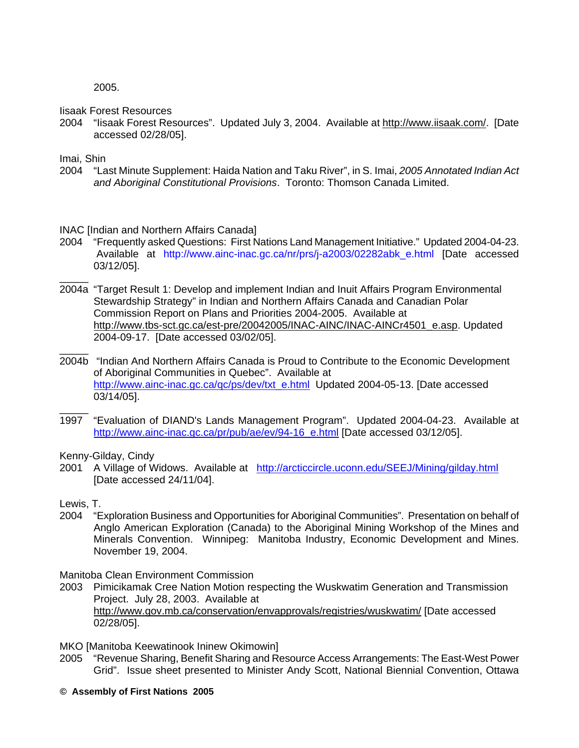2005.

Iisaak Forest Resources

2004 "Iisaak Forest Resources". Updated July 3, 2004. Available at http://www.iisaak.com/. [Date accessed 02/28/05].

Imai, Shin

\_\_\_\_\_

2004 "Last Minute Supplement: Haida Nation and Taku River", in S. Imai, *2005 Annotated Indian Act and Aboriginal Constitutional Provisions*. Toronto: Thomson Canada Limited.

INAC [Indian and Northern Affairs Canada]

- 2004 "Frequently asked Questions: First Nations Land Management Initiative." Updated 2004-04-23. Available at http://www.ainc-inac.gc.ca/nr/prs/j-a2003/02282abk\_e.html [Date accessed 03/12/05].
- 2004a "Target Result 1: Develop and implement Indian and Inuit Affairs Program Environmental Stewardship Strategy" in Indian and Northern Affairs Canada and Canadian Polar Commission Report on Plans and Priorities 2004-2005. Available at http://www.tbs-sct.gc.ca/est-pre/20042005/INAC-AINC/INAC-AINCr4501\_e.asp. Updated 2004-09-17. [Date accessed 03/02/05].
- \_\_\_\_\_ 2004b "Indian And Northern Affairs Canada is Proud to Contribute to the Economic Development of Aboriginal Communities in Quebec". Available at http://www.ainc-inac.gc.ca/qc/ps/dev/txt\_e.html Updated 2004-05-13. [Date accessed 03/14/05].
- $\overline{\phantom{a}}$ 1997 "Evaluation of DIAND's Lands Management Program". Updated 2004-04-23. Available at http://www.ainc-inac.gc.ca/pr/pub/ae/ev/94-16 e.html [Date accessed 03/12/05].

Kenny-Gilday, Cindy

2001 A Village of Widows. Available at http://arcticcircle.uconn.edu/SEEJ/Mining/gilday.html [Date accessed 24/11/04].

Lewis, T.

2004 "Exploration Business and Opportunities for Aboriginal Communities". Presentation on behalf of Anglo American Exploration (Canada) to the Aboriginal Mining Workshop of the Mines and Minerals Convention. Winnipeg: Manitoba Industry, Economic Development and Mines. November 19, 2004.

Manitoba Clean Environment Commission

- 2003 Pimicikamak Cree Nation Motion respecting the Wuskwatim Generation and Transmission Project. July 28, 2003. Available at http://www.gov.mb.ca/conservation/envapprovals/registries/wuskwatim/ [Date accessed 02/28/05].
- MKO [Manitoba Keewatinook Ininew Okimowin]
- 2005 "Revenue Sharing, Benefit Sharing and Resource Access Arrangements: The East-West Power Grid". Issue sheet presented to Minister Andy Scott, National Biennial Convention, Ottawa
- **© Assembly of First Nations 2005**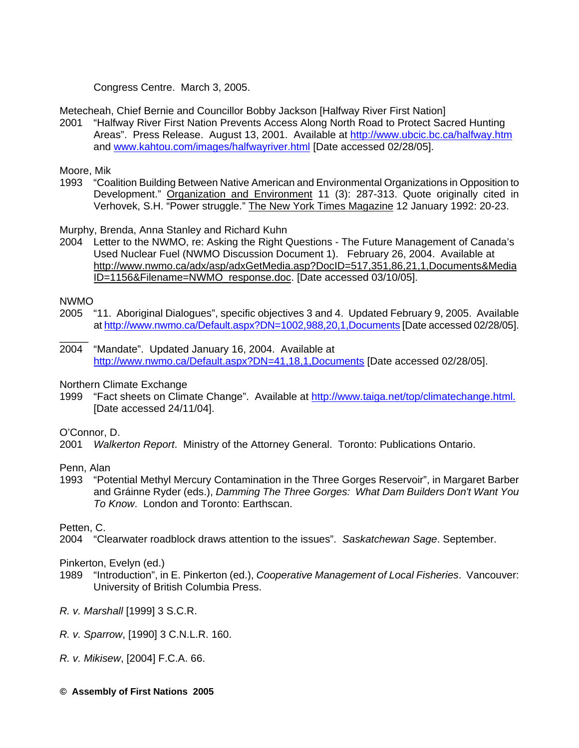Congress Centre. March 3, 2005.

Metecheah, Chief Bernie and Councillor Bobby Jackson [Halfway River First Nation]

2001 "Halfway River First Nation Prevents Access Along North Road to Protect Sacred Hunting Areas". Press Release. August 13, 2001. Available at http://www.ubcic.bc.ca/halfway.htm and www.kahtou.com/images/halfwayriver.html [Date accessed 02/28/05].

Moore, Mik

1993 "Coalition Building Between Native American and Environmental Organizations in Opposition to Development." Organization and Environment 11 (3): 287-313. Quote originally cited in Verhovek, S.H. "Power struggle." The New York Times Magazine 12 January 1992: 20-23.

Murphy, Brenda, Anna Stanley and Richard Kuhn

2004 Letter to the NWMO, re: Asking the Right Questions - The Future Management of Canada's Used Nuclear Fuel (NWMO Discussion Document 1). February 26, 2004. Available at http://www.nwmo.ca/adx/asp/adxGetMedia.asp?DocID=517,351,86,21,1,Documents&Media ID=1156&Filename=NWMO\_response.doc. [Date accessed 03/10/05].

NWMO

\_\_\_\_\_

- 2005 "11. Aboriginal Dialogues", specific objectives 3 and 4. Updated February 9, 2005. Available at http://www.nwmo.ca/Default.aspx?DN=1002,988,20,1,Documents [Date accessed 02/28/05].
- 2004 "Mandate". Updated January 16, 2004. Available at http://www.nwmo.ca/Default.aspx?DN=41,18,1,Documents [Date accessed 02/28/05].

Northern Climate Exchange

1999 "Fact sheets on Climate Change". Available at http://www.taiga.net/top/climatechange.html. [Date accessed 24/11/04].

O'Connor, D.

2001 *Walkerton Report*. Ministry of the Attorney General. Toronto: Publications Ontario.

Penn, Alan

1993 "Potential Methyl Mercury Contamination in the Three Gorges Reservoir", in Margaret Barber and Gráinne Ryder (eds.), *Damming The Three Gorges: What Dam Builders Don't Want You To Know*. London and Toronto: Earthscan.

Petten, C.

2004 "Clearwater roadblock draws attention to the issues". *Saskatchewan Sage*. September.

Pinkerton, Evelyn (ed.)

- 1989 "Introduction", in E. Pinkerton (ed.), *Cooperative Management of Local Fisheries*. Vancouver: University of British Columbia Press.
- *R. v. Marshall* [1999] 3 S.C.R.
- *R. v. Sparrow*, [1990] 3 C.N.L.R. 160.

*R. v. Mikisew*, [2004] F.C.A. 66.